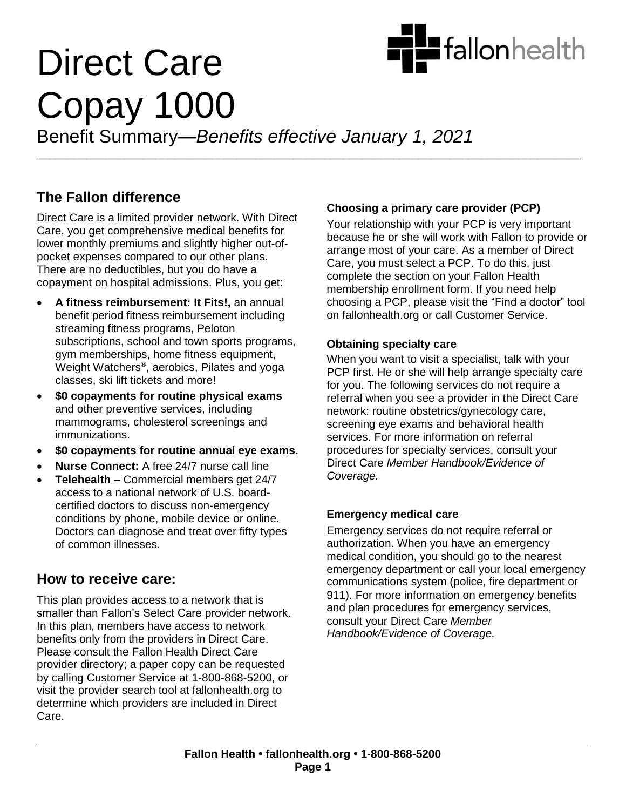

# Direct Care Copay 1000 Benefit Summary—*Benefits effective January 1, 2021*

\_\_\_\_\_\_\_\_\_\_\_\_\_\_\_\_\_\_\_\_\_\_\_\_\_\_\_\_\_\_\_\_\_\_\_\_\_\_\_\_\_\_\_\_\_\_\_\_\_\_\_\_\_\_\_\_\_\_\_\_\_\_\_\_\_\_\_\_\_\_\_\_\_\_\_\_\_\_\_\_\_\_\_\_\_\_\_

**The Fallon difference**

Direct Care is a limited provider network. With Direct Care, you get comprehensive medical benefits for lower monthly premiums and slightly higher out-ofpocket expenses compared to our other plans. There are no deductibles, but you do have a copayment on hospital admissions. Plus, you get:

- **A fitness reimbursement: It Fits!,** an annual benefit period fitness reimbursement including streaming fitness programs, Peloton subscriptions, school and town sports programs, gym memberships, home fitness equipment, Weight Watchers® , aerobics, Pilates and yoga classes, ski lift tickets and more!
- **\$0 copayments for routine physical exams** and other preventive services, including mammograms, cholesterol screenings and immunizations.
- **\$0 copayments for routine annual eye exams.**
- **Nurse Connect:** A free 24/7 nurse call line
- **Telehealth –** Commercial members get 24/7 access to a national network of U.S. boardcertified doctors to discuss non-emergency conditions by phone, mobile device or online. Doctors can diagnose and treat over fifty types of common illnesses.

## **How to receive care:**

This plan provides access to a network that is smaller than Fallon's Select Care provider network. In this plan, members have access to network benefits only from the providers in Direct Care. Please consult the Fallon Health Direct Care provider directory; a paper copy can be requested by calling Customer Service at 1-800-868-5200, or visit the provider search tool at fallonhealth.org to determine which providers are included in Direct Care.

### **Choosing a primary care provider (PCP)**

Your relationship with your PCP is very important because he or she will work with Fallon to provide or arrange most of your care. As a member of Direct Care, you must select a PCP. To do this, just complete the section on your Fallon Health membership enrollment form. If you need help choosing a PCP, please visit the "Find a doctor" tool on fallonhealth.org or call Customer Service.

#### **Obtaining specialty care**

When you want to visit a specialist, talk with your PCP first. He or she will help arrange specialty care for you. The following services do not require a referral when you see a provider in the Direct Care network: routine obstetrics/gynecology care, screening eye exams and behavioral health services. For more information on referral procedures for specialty services, consult your Direct Care *Member Handbook/Evidence of Coverage.* 

#### **Emergency medical care**

Emergency services do not require referral or authorization. When you have an emergency medical condition, you should go to the nearest emergency department or call your local emergency communications system (police, fire department or 911). For more information on emergency benefits and plan procedures for emergency services, consult your Direct Care *Member Handbook/Evidence of Coverage.*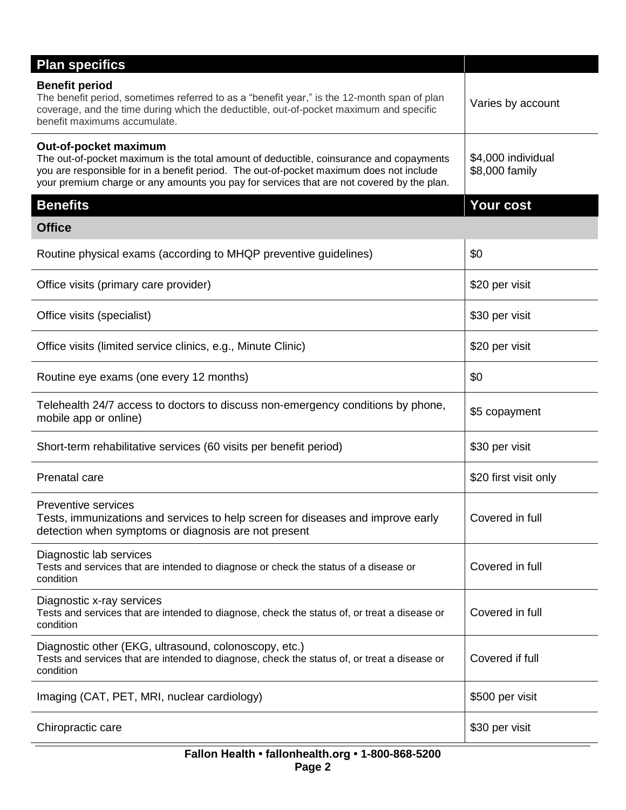| <b>Plan specifics</b>                                                                                                                                                                                                                                                                                    |                                      |
|----------------------------------------------------------------------------------------------------------------------------------------------------------------------------------------------------------------------------------------------------------------------------------------------------------|--------------------------------------|
| <b>Benefit period</b><br>The benefit period, sometimes referred to as a "benefit year," is the 12-month span of plan<br>coverage, and the time during which the deductible, out-of-pocket maximum and specific<br>benefit maximums accumulate.                                                           | Varies by account                    |
| Out-of-pocket maximum<br>The out-of-pocket maximum is the total amount of deductible, coinsurance and copayments<br>you are responsible for in a benefit period. The out-of-pocket maximum does not include<br>your premium charge or any amounts you pay for services that are not covered by the plan. | \$4,000 individual<br>\$8,000 family |
| <b>Benefits</b>                                                                                                                                                                                                                                                                                          | Your cost                            |
| <b>Office</b>                                                                                                                                                                                                                                                                                            |                                      |
| Routine physical exams (according to MHQP preventive guidelines)                                                                                                                                                                                                                                         | \$0                                  |
| Office visits (primary care provider)                                                                                                                                                                                                                                                                    | \$20 per visit                       |
| Office visits (specialist)                                                                                                                                                                                                                                                                               | \$30 per visit                       |
| Office visits (limited service clinics, e.g., Minute Clinic)                                                                                                                                                                                                                                             | \$20 per visit                       |
| Routine eye exams (one every 12 months)                                                                                                                                                                                                                                                                  | \$0                                  |
| Telehealth 24/7 access to doctors to discuss non-emergency conditions by phone,<br>mobile app or online)                                                                                                                                                                                                 | \$5 copayment                        |
| Short-term rehabilitative services (60 visits per benefit period)                                                                                                                                                                                                                                        | \$30 per visit                       |
| Prenatal care                                                                                                                                                                                                                                                                                            | \$20 first visit only                |
| <b>Preventive services</b><br>Tests, immunizations and services to help screen for diseases and improve early<br>detection when symptoms or diagnosis are not present                                                                                                                                    | Covered in full                      |
| Diagnostic lab services<br>Tests and services that are intended to diagnose or check the status of a disease or<br>condition                                                                                                                                                                             | Covered in full                      |
| Diagnostic x-ray services<br>Tests and services that are intended to diagnose, check the status of, or treat a disease or<br>condition                                                                                                                                                                   | Covered in full                      |
| Diagnostic other (EKG, ultrasound, colonoscopy, etc.)<br>Tests and services that are intended to diagnose, check the status of, or treat a disease or<br>condition                                                                                                                                       | Covered if full                      |
| Imaging (CAT, PET, MRI, nuclear cardiology)                                                                                                                                                                                                                                                              | \$500 per visit                      |
| Chiropractic care                                                                                                                                                                                                                                                                                        | \$30 per visit                       |
|                                                                                                                                                                                                                                                                                                          |                                      |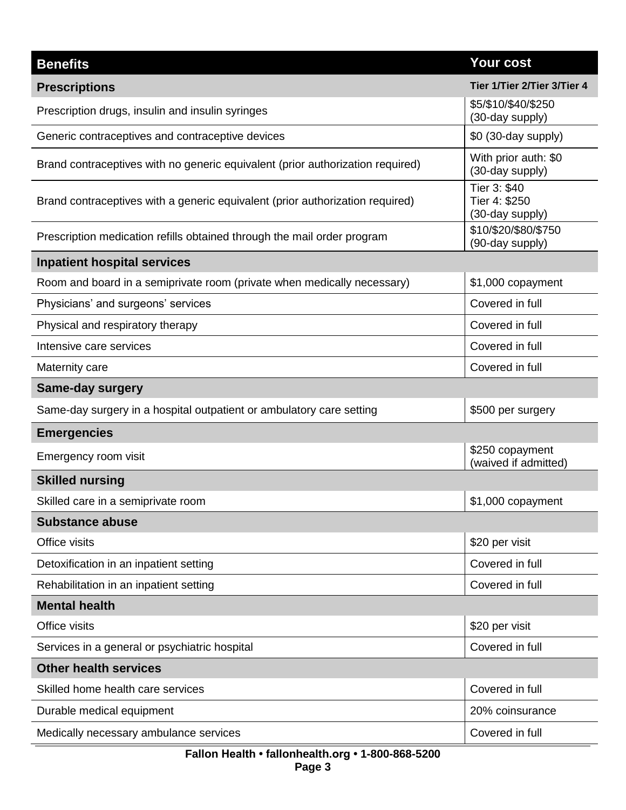| <b>Benefits</b>                                                                | <b>Your cost</b>                                 |
|--------------------------------------------------------------------------------|--------------------------------------------------|
| <b>Prescriptions</b>                                                           | Tier 1/Tier 2/Tier 3/Tier 4                      |
| Prescription drugs, insulin and insulin syringes                               | \$5/\$10/\$40/\$250<br>(30-day supply)           |
| Generic contraceptives and contraceptive devices                               | \$0 (30-day supply)                              |
| Brand contraceptives with no generic equivalent (prior authorization required) | With prior auth: \$0<br>(30-day supply)          |
| Brand contraceptives with a generic equivalent (prior authorization required)  | Tier 3: \$40<br>Tier 4: \$250<br>(30-day supply) |
| Prescription medication refills obtained through the mail order program        | \$10/\$20/\$80/\$750<br>(90-day supply)          |
| <b>Inpatient hospital services</b>                                             |                                                  |
| Room and board in a semiprivate room (private when medically necessary)        | \$1,000 copayment                                |
| Physicians' and surgeons' services                                             | Covered in full                                  |
| Physical and respiratory therapy                                               | Covered in full                                  |
| Intensive care services                                                        | Covered in full                                  |
| Maternity care                                                                 | Covered in full                                  |
| <b>Same-day surgery</b>                                                        |                                                  |
| Same-day surgery in a hospital outpatient or ambulatory care setting           | \$500 per surgery                                |
| <b>Emergencies</b>                                                             |                                                  |
| Emergency room visit                                                           | \$250 copayment<br>(waived if admitted)          |
| <b>Skilled nursing</b>                                                         |                                                  |
| Skilled care in a semiprivate room                                             | \$1,000 copayment                                |
| <b>Substance abuse</b>                                                         |                                                  |
| Office visits                                                                  | \$20 per visit                                   |
| Detoxification in an inpatient setting                                         | Covered in full                                  |
| Rehabilitation in an inpatient setting                                         | Covered in full                                  |
| <b>Mental health</b>                                                           |                                                  |
| Office visits                                                                  | \$20 per visit                                   |
| Services in a general or psychiatric hospital                                  | Covered in full                                  |
| <b>Other health services</b>                                                   |                                                  |
| Skilled home health care services                                              | Covered in full                                  |
| Durable medical equipment                                                      | 20% coinsurance                                  |
| Medically necessary ambulance services                                         | Covered in full                                  |
| Fallon Health • fallonhealth.org • 1-800-868-5200                              |                                                  |